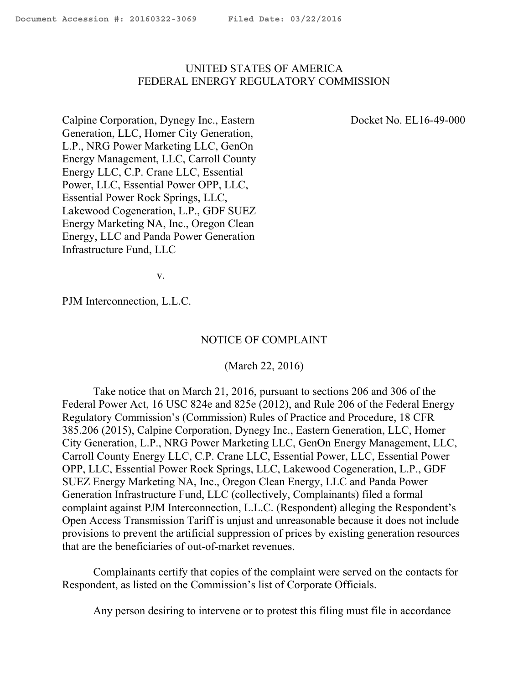## <span id="page-0-0"></span>UNITED STATES OF AMERICA FEDERAL ENERGY REGULATORY COMMISSION

Docket No. EL16-49-000

Calpine Corporation, Dynegy Inc., Eastern Generation, LLC, Homer City Generation, L.P., NRG Power Marketing LLC, GenOn Energy Management, LLC, Carroll County Energy LLC, C.P. Crane LLC, Essential Power, LLC, Essential Power OPP, LLC, Essential Power Rock Springs, LLC, Lakewood Cogeneration, L.P., GDF SUEZ Energy Marketing NA, Inc., Oregon Clean Energy, LLC and Panda Power Generation Infrastructure Fund, LLC

v.

PJM Interconnection, L.L.C.

## NOTICE OF COMPLAINT

(March 22, 2016)

Take notice that on March 21, 2016, pursuant to sections 206 and 306 of the Federal Power Act, 16 USC 824e and 825e (2012), and Rule 206 of the Federal Energy Regulatory Commission's (Commission) Rules of Practice and Procedure, 18 CFR 385.206 (2015), Calpine Corporation, Dynegy Inc., Eastern Generation, LLC, Homer City Generation, L.P., NRG Power Marketing LLC, GenOn Energy Management, LLC, Carroll County Energy LLC, C.P. Crane LLC, Essential Power, LLC, Essential Power OPP, LLC, Essential Power Rock Springs, LLC, Lakewood Cogeneration, L.P., GDF SUEZ Energy Marketing NA, Inc., Oregon Clean Energy, LLC and Panda Power Generation Infrastructure Fund, LLC (collectively, Complainants) filed a formal complaint against PJM Interconnection, L.L.C. (Respondent) alleging the Respondent's Open Access Transmission Tariff is unjust and unreasonable because it does not include provisions to prevent the artificial suppression of prices by existing generation resources that are the beneficiaries of out-of-market revenues.

Complainants certify that copies of the complaint were served on the contacts for Respondent, as listed on the Commission's list of Corporate Officials.

Any person desiring to intervene or to protest this filing must file in accordance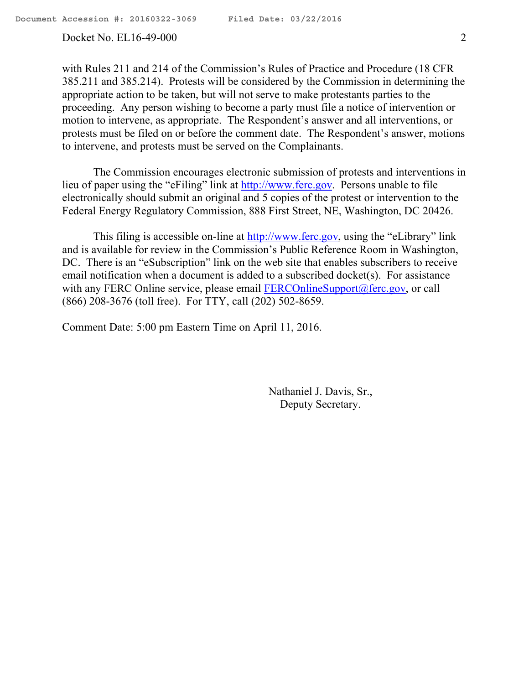with Rules 211 and 214 of the Commission's Rules of Practice and Procedure (18 CFR 385.211 and 385.214). Protests will be considered by the Commission in determining the appropriate action to be taken, but will not serve to make protestants parties to the proceeding. Any person wishing to become a party must file a notice of intervention or motion to intervene, as appropriate. The Respondent's answer and all interventions, or protests must be filed on or before the comment date. The Respondent's answer, motions to intervene, and protests must be served on the Complainants.

The Commission encourages electronic submission of protests and interventions in lieu of paper using the "eFiling" link at http://www.ferc.gov. Persons unable to file electronically should submit an original and 5 copies of the protest or intervention to the Federal Energy Regulatory Commission, 888 First Street, NE, Washington, DC 20426.

This filing is accessible on-line at http://www.ferc.gov, using the "eLibrary" link and is available for review in the Commission's Public Reference Room in Washington, DC. There is an "eSubscription" link on the web site that enables subscribers to receive email notification when a document is added to a subscribed docket(s). For assistance with any FERC Online service, please email FERCOnlineSupport@ferc.gov, or call (866) 208-3676 (toll free). For TTY, call (202) 502-8659.

Comment Date: 5:00 pm Eastern Time on April 11, 2016.

Nathaniel J. Davis, Sr., Deputy Secretary.